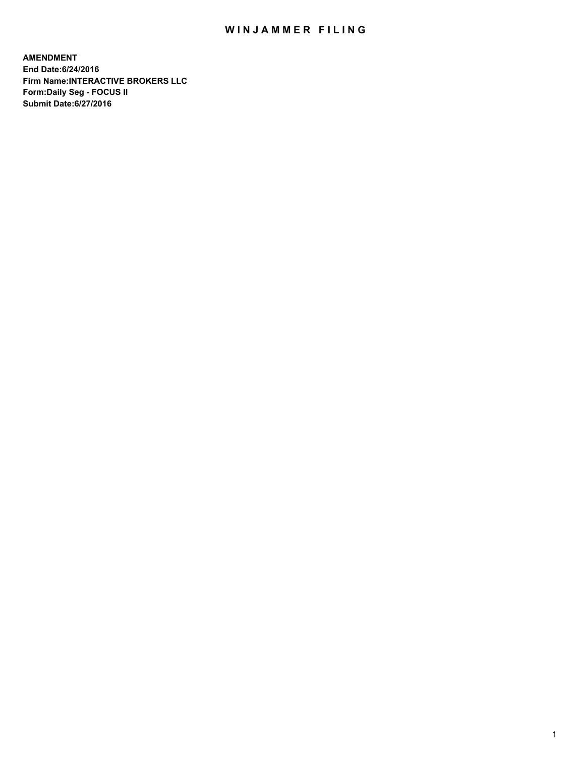## WIN JAMMER FILING

**AMENDMENT End Date:6/24/2016 Firm Name:INTERACTIVE BROKERS LLC Form:Daily Seg - FOCUS II Submit Date:6/27/2016**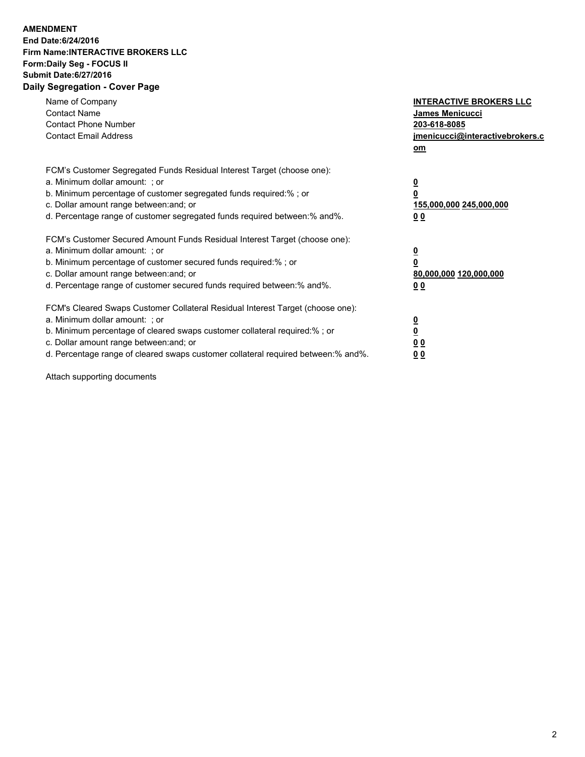## **AMENDMENT End Date:6/24/2016 Firm Name:INTERACTIVE BROKERS LLC Form:Daily Seg - FOCUS II Submit Date:6/27/2016 Daily Segregation - Cover Page**

| Name of Company<br><b>Contact Name</b><br><b>Contact Phone Number</b><br><b>Contact Email Address</b>                                                                                                                                                                                                                          | <b>INTERACTIVE BROKERS LLC</b><br>James Menicucci<br>203-618-8085<br>jmenicucci@interactivebrokers.c |
|--------------------------------------------------------------------------------------------------------------------------------------------------------------------------------------------------------------------------------------------------------------------------------------------------------------------------------|------------------------------------------------------------------------------------------------------|
|                                                                                                                                                                                                                                                                                                                                | om                                                                                                   |
| FCM's Customer Segregated Funds Residual Interest Target (choose one):<br>a. Minimum dollar amount: ; or<br>b. Minimum percentage of customer segregated funds required:% ; or<br>c. Dollar amount range between: and; or<br>d. Percentage range of customer segregated funds required between: % and %.                       | $\overline{\mathbf{0}}$<br>$\overline{\mathbf{0}}$<br>155,000,000 245,000,000<br>0 <sub>0</sub>      |
| FCM's Customer Secured Amount Funds Residual Interest Target (choose one):<br>a. Minimum dollar amount: ; or<br>b. Minimum percentage of customer secured funds required:%; or<br>c. Dollar amount range between: and; or<br>d. Percentage range of customer secured funds required between:% and%.                            | $\overline{\mathbf{0}}$<br>$\overline{\mathbf{0}}$<br>80,000,000 120,000,000<br>0 <sub>0</sub>       |
| FCM's Cleared Swaps Customer Collateral Residual Interest Target (choose one):<br>a. Minimum dollar amount: ; or<br>b. Minimum percentage of cleared swaps customer collateral required:% ; or<br>c. Dollar amount range between: and; or<br>d. Percentage range of cleared swaps customer collateral required between:% and%. | $\underline{\mathbf{0}}$<br><u>0</u><br>0 <sub>0</sub><br>0 <sup>0</sup>                             |

Attach supporting documents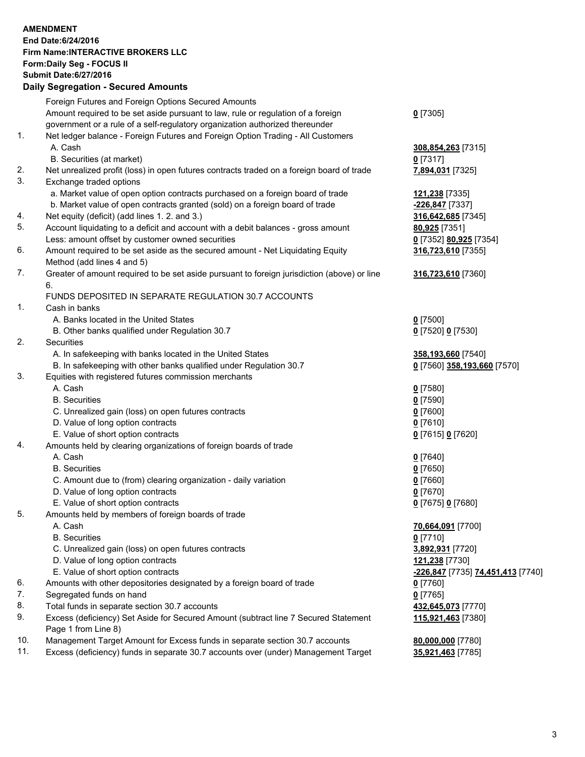## **AMENDMENT End Date:6/24/2016 Firm Name:INTERACTIVE BROKERS LLC Form:Daily Seg - FOCUS II Submit Date:6/27/2016 Daily Segregation - Secured Amounts**

|     | Foreign Futures and Foreign Options Secured Amounts                                         |                                   |
|-----|---------------------------------------------------------------------------------------------|-----------------------------------|
|     | Amount required to be set aside pursuant to law, rule or regulation of a foreign            | $0$ [7305]                        |
|     | government or a rule of a self-regulatory organization authorized thereunder                |                                   |
| 1.  | Net ledger balance - Foreign Futures and Foreign Option Trading - All Customers             |                                   |
|     | A. Cash                                                                                     | 308,854,263 [7315]                |
|     | B. Securities (at market)                                                                   | $0$ [7317]                        |
| 2.  | Net unrealized profit (loss) in open futures contracts traded on a foreign board of trade   | 7,894,031 [7325]                  |
| 3.  | Exchange traded options                                                                     |                                   |
|     | a. Market value of open option contracts purchased on a foreign board of trade              | 121,238 [7335]                    |
|     | b. Market value of open contracts granted (sold) on a foreign board of trade                | -226,847 [7337]                   |
| 4.  | Net equity (deficit) (add lines 1. 2. and 3.)                                               | 316,642,685 [7345]                |
| 5.  | Account liquidating to a deficit and account with a debit balances - gross amount           | 80,925 [7351]                     |
|     | Less: amount offset by customer owned securities                                            | 0 [7352] 80,925 [7354]            |
| 6.  | Amount required to be set aside as the secured amount - Net Liquidating Equity              | 316,723,610 [7355]                |
|     | Method (add lines 4 and 5)                                                                  |                                   |
| 7.  | Greater of amount required to be set aside pursuant to foreign jurisdiction (above) or line | 316,723,610 [7360]                |
|     | 6.                                                                                          |                                   |
|     | FUNDS DEPOSITED IN SEPARATE REGULATION 30.7 ACCOUNTS                                        |                                   |
| 1.  | Cash in banks                                                                               |                                   |
|     | A. Banks located in the United States                                                       | $Q$ [7500]                        |
|     | B. Other banks qualified under Regulation 30.7                                              | 0 [7520] 0 [7530]                 |
| 2.  | Securities                                                                                  |                                   |
|     | A. In safekeeping with banks located in the United States                                   | 358,193,660 [7540]                |
|     | B. In safekeeping with other banks qualified under Regulation 30.7                          | 0 [7560] 358,193,660 [7570]       |
| 3.  | Equities with registered futures commission merchants                                       |                                   |
|     | A. Cash                                                                                     | $0$ [7580]                        |
|     | <b>B.</b> Securities                                                                        | $0$ [7590]                        |
|     | C. Unrealized gain (loss) on open futures contracts                                         | $0$ [7600]                        |
|     | D. Value of long option contracts                                                           | $0$ [7610]                        |
|     | E. Value of short option contracts                                                          | 0 [7615] 0 [7620]                 |
| 4.  | Amounts held by clearing organizations of foreign boards of trade                           |                                   |
|     | A. Cash                                                                                     | $Q$ [7640]                        |
|     | <b>B.</b> Securities                                                                        | $0$ [7650]                        |
|     | C. Amount due to (from) clearing organization - daily variation                             | $0$ [7660]                        |
|     | D. Value of long option contracts                                                           | $0$ [7670]                        |
|     | E. Value of short option contracts                                                          | 0 [7675] 0 [7680]                 |
| 5.  | Amounts held by members of foreign boards of trade                                          |                                   |
|     | A. Cash                                                                                     | 70,664,091 [7700]                 |
|     | <b>B.</b> Securities                                                                        | $0$ [7710]                        |
|     | C. Unrealized gain (loss) on open futures contracts                                         | 3,892,931 [7720]                  |
|     | D. Value of long option contracts                                                           | 121,238 [7730]                    |
|     | E. Value of short option contracts                                                          | -226,847 [7735] 74,451,413 [7740] |
| 6.  | Amounts with other depositories designated by a foreign board of trade                      | $0$ [7760]                        |
| 7.  | Segregated funds on hand                                                                    | $0$ [7765]                        |
| 8.  | Total funds in separate section 30.7 accounts                                               | 432,645,073 [7770]                |
| 9.  | Excess (deficiency) Set Aside for Secured Amount (subtract line 7 Secured Statement         | 115,921,463 [7380]                |
|     | Page 1 from Line 8)                                                                         |                                   |
| 10. | Management Target Amount for Excess funds in separate section 30.7 accounts                 | 80,000,000 [7780]                 |
| 11. | Excess (deficiency) funds in separate 30.7 accounts over (under) Management Target          | 35,921,463 [7785]                 |
|     |                                                                                             |                                   |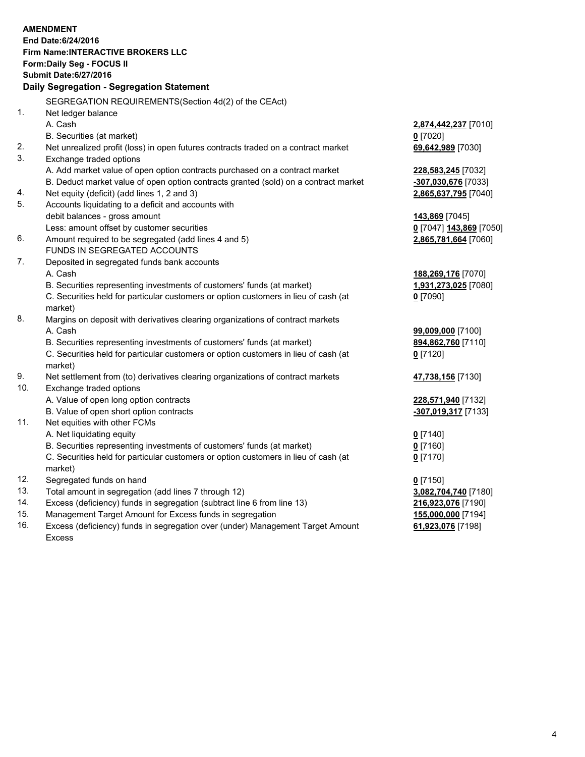|     | <b>AMENDMENT</b><br>End Date: 6/24/2016<br>Firm Name: INTERACTIVE BROKERS LLC<br>Form: Daily Seg - FOCUS II<br><b>Submit Date:6/27/2016</b><br>Daily Segregation - Segregation Statement |                         |
|-----|------------------------------------------------------------------------------------------------------------------------------------------------------------------------------------------|-------------------------|
|     | SEGREGATION REQUIREMENTS(Section 4d(2) of the CEAct)                                                                                                                                     |                         |
| 1.  | Net ledger balance                                                                                                                                                                       |                         |
|     | A. Cash                                                                                                                                                                                  | 2,874,442,237 [7010]    |
|     | B. Securities (at market)                                                                                                                                                                | $0$ [7020]              |
| 2.  | Net unrealized profit (loss) in open futures contracts traded on a contract market                                                                                                       | 69,642,989 [7030]       |
| 3.  | Exchange traded options                                                                                                                                                                  |                         |
|     | A. Add market value of open option contracts purchased on a contract market                                                                                                              | 228,583,245 [7032]      |
|     | B. Deduct market value of open option contracts granted (sold) on a contract market                                                                                                      | -307,030,676 [7033]     |
| 4.  | Net equity (deficit) (add lines 1, 2 and 3)                                                                                                                                              | 2,865,637,795 [7040]    |
| 5.  | Accounts liquidating to a deficit and accounts with                                                                                                                                      |                         |
|     | debit balances - gross amount                                                                                                                                                            | 143,869 [7045]          |
|     | Less: amount offset by customer securities                                                                                                                                               | 0 [7047] 143,869 [7050] |
| 6.  | Amount required to be segregated (add lines 4 and 5)                                                                                                                                     | 2,865,781,664 [7060]    |
|     | FUNDS IN SEGREGATED ACCOUNTS                                                                                                                                                             |                         |
| 7.  | Deposited in segregated funds bank accounts                                                                                                                                              |                         |
|     | A. Cash                                                                                                                                                                                  | 188,269,176 [7070]      |
|     | B. Securities representing investments of customers' funds (at market)                                                                                                                   | 1,931,273,025 [7080]    |
|     | C. Securities held for particular customers or option customers in lieu of cash (at<br>market)                                                                                           | $0$ [7090]              |
| 8.  | Margins on deposit with derivatives clearing organizations of contract markets                                                                                                           |                         |
|     | A. Cash                                                                                                                                                                                  | 99,009,000 [7100]       |
|     | B. Securities representing investments of customers' funds (at market)                                                                                                                   | 894,862,760 [7110]      |
|     | C. Securities held for particular customers or option customers in lieu of cash (at<br>market)                                                                                           | $0$ [7120]              |
| 9.  | Net settlement from (to) derivatives clearing organizations of contract markets                                                                                                          | 47,738,156 [7130]       |
| 10. | Exchange traded options                                                                                                                                                                  |                         |
|     | A. Value of open long option contracts                                                                                                                                                   | 228,571,940 [7132]      |
|     | B. Value of open short option contracts                                                                                                                                                  | -307,019,317 [7133]     |
| 11. | Net equities with other FCMs                                                                                                                                                             |                         |
|     | A. Net liquidating equity                                                                                                                                                                | $0$ [7140]              |
|     | B. Securities representing investments of customers' funds (at market)                                                                                                                   | $0$ [7160]              |
|     | C. Securities held for particular customers or option customers in lieu of cash (at<br>market)                                                                                           | $0$ [7170]              |
| 12. | Segregated funds on hand                                                                                                                                                                 | $0$ [7150]              |
| 13. | Total amount in segregation (add lines 7 through 12)                                                                                                                                     | 3,082,704,740 [7180]    |
| 14. | Excess (deficiency) funds in segregation (subtract line 6 from line 13)                                                                                                                  | 216,923,076 [7190]      |
| 15. | Management Target Amount for Excess funds in segregation                                                                                                                                 | 155,000,000 [7194]      |
|     |                                                                                                                                                                                          |                         |

16. Excess (deficiency) funds in segregation over (under) Management Target Amount Excess

**61,923,076** [7198]